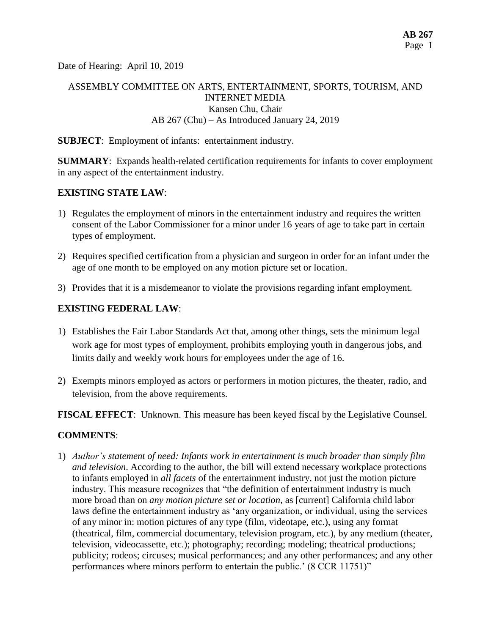Date of Hearing: April 10, 2019

# ASSEMBLY COMMITTEE ON ARTS, ENTERTAINMENT, SPORTS, TOURISM, AND INTERNET MEDIA Kansen Chu, Chair AB 267 (Chu) – As Introduced January 24, 2019

### **SUBJECT**: Employment of infants: entertainment industry.

**SUMMARY**: Expands health-related certification requirements for infants to cover employment in any aspect of the entertainment industry.

### **EXISTING STATE LAW**:

- 1) Regulates the employment of minors in the entertainment industry and requires the written consent of the Labor Commissioner for a minor under 16 years of age to take part in certain types of employment.
- 2) Requires specified certification from a physician and surgeon in order for an infant under the age of one month to be employed on any motion picture set or location.
- 3) Provides that it is a misdemeanor to violate the provisions regarding infant employment.

### **EXISTING FEDERAL LAW**:

- 1) Establishes the Fair Labor Standards Act that, among other things, sets the minimum legal work age for most types of employment, prohibits employing youth in dangerous jobs, and limits daily and weekly work hours for employees under the age of 16.
- 2) Exempts minors employed as actors or performers in motion pictures, the theater, radio, and television, from the above requirements.

**FISCAL EFFECT**: Unknown. This measure has been keyed fiscal by the Legislative Counsel.

#### **COMMENTS**:

1) *Author's statement of need: Infants work in entertainment is much broader than simply film and television*. According to the author, the bill will extend necessary workplace protections to infants employed in *all facets* of the entertainment industry, not just the motion picture industry. This measure recognizes that "the definition of entertainment industry is much more broad than on *any motion picture set or location*, as [current] California child labor laws define the entertainment industry as 'any organization, or individual, using the services of any minor in: motion pictures of any type (film, videotape, etc.), using any format (theatrical, film, commercial documentary, television program, etc.), by any medium (theater, television, videocassette, etc.); photography; recording; modeling; theatrical productions; publicity; rodeos; circuses; musical performances; and any other performances; and any other performances where minors perform to entertain the public.' (8 CCR 11751)"